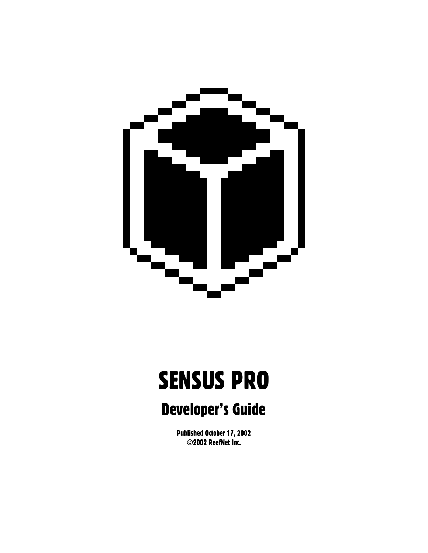

# SENSUS PRO

# Developer's Guide

Published October 17, 2002 ©2002 ReefNet Inc.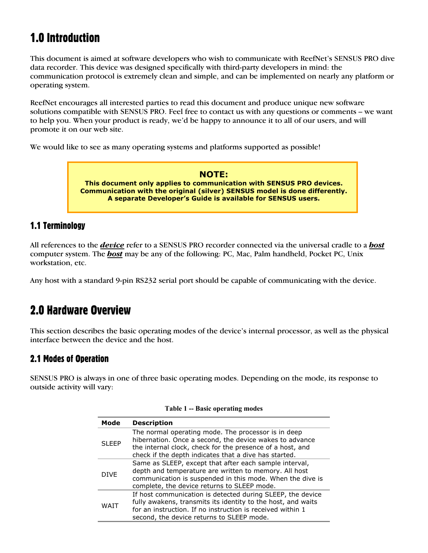# 1.0 Introduction

This document is aimed at software developers who wish to communicate with ReefNet's SENSUS PRO dive data recorder. This device was designed specifically with third-party developers in mind: the communication protocol is extremely clean and simple, and can be implemented on nearly any platform or operating system.

ReefNet encourages all interested parties to read this document and produce unique new software solutions compatible with SENSUS PRO. Feel free to contact us with any questions or comments – we want to help you. When your product is ready, we'd be happy to announce it to all of our users, and will promote it on our web site.

We would like to see as many operating systems and platforms supported as possible!

**NOTE: This document only applies to communication with SENSUS PRO devices. Communication with the original (silver) SENSUS model is done differently. A separate Developer's Guide is available for SENSUS users.** 

### 1.1 Terminology

All references to the *device* refer to a SENSUS PRO recorder connected via the universal cradle to a *host* computer system. The *host* may be any of the following: PC, Mac, Palm handheld, Pocket PC, Unix workstation, etc.

Any host with a standard 9-pin RS232 serial port should be capable of communicating with the device.

# 2.0 Hardware Overview

This section describes the basic operating modes of the device's internal processor, as well as the physical interface between the device and the host.

### 2.1 Modes of Operation

SENSUS PRO is always in one of three basic operating modes. Depending on the mode, its response to outside activity will vary:

| Mode        | <b>Description</b>                                                                                                                                                                                                                    |  |  |  |
|-------------|---------------------------------------------------------------------------------------------------------------------------------------------------------------------------------------------------------------------------------------|--|--|--|
| SLEEP       | The normal operating mode. The processor is in deep<br>hibernation. Once a second, the device wakes to advance<br>the internal clock, check for the presence of a host, and<br>check if the depth indicates that a dive has started.  |  |  |  |
| <b>DIVF</b> | Same as SLEEP, except that after each sample interval,<br>depth and temperature are written to memory. All host<br>communication is suspended in this mode. When the dive is<br>complete, the device returns to SLEEP mode.           |  |  |  |
| WATT        | If host communication is detected during SLEEP, the device<br>fully awakens, transmits its identity to the host, and waits<br>for an instruction. If no instruction is received within 1<br>second, the device returns to SLEEP mode. |  |  |  |

**Table 1 -- Basic operating modes**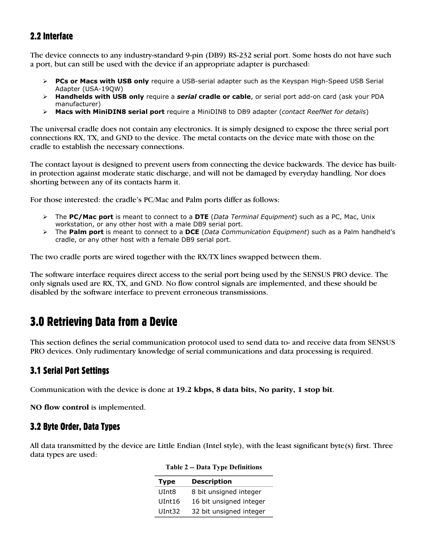# 2.2 Interface

The device connects to any industry-standard 9-pin (DB9) RS-232 serial port. Some hosts do not have such a port, but can still be used with the device if an appropriate adapter is purchased:

- ¾ **PCs or Macs with USB only** require a USB-serial adapter such as the Keyspan High-Speed USB Serial Adapter (USA-19QW)
- ¾ **Handhelds with USB only** require a *serial* **cradle or cable**, or serial port add-on card (ask your PDA manufacturer)
- ¾ **Macs with MiniDIN8 serial port** require a MiniDIN8 to DB9 adapter (*contact ReefNet for details*)

The universal cradle does not contain any electronics. It is simply designed to expose the three serial port connections RX, TX, and GND to the device. The metal contacts on the device mate with those on the cradle to establish the necessary connections.

The contact layout is designed to prevent users from connecting the device backwards. The device has builtin protection against moderate static discharge, and will not be damaged by everyday handling. Nor does shorting between any of its contacts harm it.

For those interested: the cradle's PC/Mac and Palm ports differ as follows:

- ¾ The **PC/Mac port** is meant to connect to a **DTE** (*Data Terminal Equipment*) such as a PC, Mac, Unix workstation, or any other host with a male DB9 serial port.
- ¾ The **Palm port** is meant to connect to a **DCE** (*Data Communication Equipment*) such as a Palm handheld's cradle, or any other host with a female DB9 serial port.

The two cradle ports are wired together with the RX/TX lines swapped between them.

The software interface requires direct access to the serial port being used by the SENSUS PRO device. The only signals used are RX, TX, and GND. No flow control signals are implemented, and these should be disabled by the software interface to prevent erroneous transmissions.

# 3.0 Retrieving Data from a Device

This section defines the serial communication protocol used to send data to- and receive data from SENSUS PRO devices. Only rudimentary knowledge of serial communications and data processing is required.

### 3.1 Serial Port Settings

Communication with the device is done at **19.2 kbps, 8 data bits, No parity, 1 stop bit**.

**NO flow control** is implemented.

### 3.2 Byte Order, Data Types

All data transmitted by the device are Little Endian (Intel style), with the least significant byte(s) first. Three data types are used:

| <b>Type</b> | <b>Description</b>      |
|-------------|-------------------------|
| UInt8       | 8 bit unsigned integer  |
| UInt16      | 16 bit unsigned integer |
| UInt32      | 32 bit unsigned integer |

**Table 2 -- Data Type Definitions**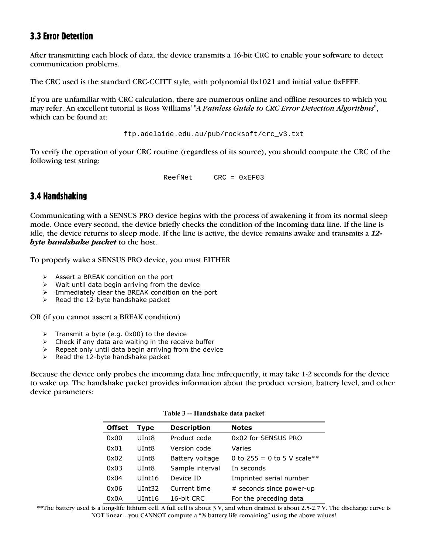### 3.3 Error Detection

After transmitting each block of data, the device transmits a 16-bit CRC to enable your software to detect communication problems.

The CRC used is the standard CRC-CCITT style, with polynomial 0x1021 and initial value 0xFFFF.

If you are unfamiliar with CRC calculation, there are numerous online and offline resources to which you may refer. An excellent tutorial is Ross Williams' "*A Painless Guide to CRC Error Detection Algorithms*", which can be found at:

ftp.adelaide.edu.au/pub/rocksoft/crc\_v3.txt

To verify the operation of your CRC routine (regardless of its source), you should compute the CRC of the following test string:

ReefNet CRC = 0xEF03

### 3.4 Handshaking

Communicating with a SENSUS PRO device begins with the process of awakening it from its normal sleep mode. Once every second, the device briefly checks the condition of the incoming data line. If the line is idle, the device returns to sleep mode. If the line is active, the device remains awake and transmits a *12 byte handshake packet* to the host.

To properly wake a SENSUS PRO device, you must EITHER

- ¾ Assert a BREAK condition on the port
- $\triangleright$  Wait until data begin arriving from the device
- $\triangleright$  Immediately clear the BREAK condition on the port
- $\triangleright$  Read the 12-byte handshake packet

OR (if you cannot assert a BREAK condition)

- $\triangleright$  Transmit a byte (e.g. 0x00) to the device
- $\triangleright$  Check if any data are waiting in the receive buffer
- $\triangleright$  Repeat only until data begin arriving from the device
- $\triangleright$  Read the 12-byte handshake packet

Because the device only probes the incoming data line infrequently, it may take 1-2 seconds for the device to wake up. The handshake packet provides information about the product version, battery level, and other device parameters:

| <b>Offset</b> | <b>Type</b>        | <b>Description</b>     | <b>Notes</b>                  |
|---------------|--------------------|------------------------|-------------------------------|
| 0x00          | UInt <sub>8</sub>  | Product code           | 0x02 for SENSUS PRO           |
| 0x01          | UInt <sub>8</sub>  | Version code<br>Varies |                               |
| 0x02          | UInt <sub>8</sub>  | Battery voltage        | 0 to $255 = 0$ to 5 V scale** |
| 0x03          | UInt8              | Sample interval        | In seconds                    |
| 0x04          | UInt <sub>16</sub> | Device ID              | Imprinted serial number       |
| 0x06          | UInt32             | Current time           | # seconds since power-up      |
| 0x0A          | UInt16             | 16-bit CRC             | For the preceding data        |

#### **Table 3 -- Handshake data packet**

\*\*The battery used is a long-life lithium cell. A full cell is about 3 V, and when drained is about 2.5-2.7 V. The discharge curve is NOT linear…you CANNOT compute a "% battery life remaining" using the above values!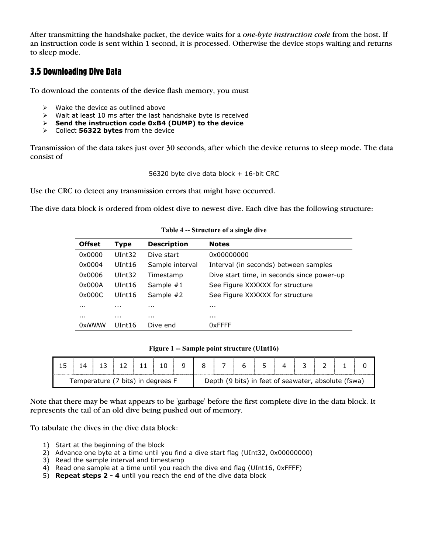After transmitting the handshake packet, the device waits for a *one-byte instruction code* from the host. If an instruction code is sent within 1 second, it is processed. Otherwise the device stops waiting and returns to sleep mode.

# 3.5 Downloading Dive Data

To download the contents of the device flash memory, you must

- $\triangleright$  Wake the device as outlined above
- $\triangleright$  Wait at least 10 ms after the last handshake byte is received
- ¾ **Send the instruction code 0xB4 (DUMP) to the device**
- ¾ Collect **56322 bytes** from the device

Transmission of the data takes just over 30 seconds, after which the device returns to sleep mode. The data consist of

56320 byte dive data block + 16-bit CRC

Use the CRC to detect any transmission errors that might have occurred.

The dive data block is ordered from oldest dive to newest dive. Each dive has the following structure:

| <b>Offset</b> | <b>Type</b> | <b>Description</b>                                       | <b>Notes</b>                               |  |  |
|---------------|-------------|----------------------------------------------------------|--------------------------------------------|--|--|
| 0x0000        | UInt32      | Dive start                                               | 0x00000000                                 |  |  |
| 0x0004        | UInt16      | Interval (in seconds) between samples<br>Sample interval |                                            |  |  |
| 0x0006        | UInt32      | Timestamp                                                | Dive start time, in seconds since power-up |  |  |
| 0x000A        | UInt16      | Sample $#1$<br>See Figure XXXXXX for structure           |                                            |  |  |
| 0x000C        | UInt16      | Sample #2                                                | See Figure XXXXXX for structure            |  |  |
| $\cdots$      | $\cdots$    | $\cdots$                                                 | $\cdots$                                   |  |  |
| $\cdots$      | $\cdots$    | $\cdots$                                                 | $\cdots$                                   |  |  |
| <b>OxNNNN</b> | UInt16      | Dive end                                                 | $0x$ FFFF                                  |  |  |

**Table 4 -- Structure of a single dive** 

|  |  | Figure 1 -- Sample point structure (UInt16) |  |
|--|--|---------------------------------------------|--|
|--|--|---------------------------------------------|--|

| Temperature (7 bits) in degrees F |  |  |  | Depth |  |  | (9 bits) in feet of seawater, absolute (fswa) |  |
|-----------------------------------|--|--|--|-------|--|--|-----------------------------------------------|--|

Note that there may be what appears to be 'garbage' before the first complete dive in the data block. It represents the tail of an old dive being pushed out of memory.

To tabulate the dives in the dive data block:

- 1) Start at the beginning of the block
- 2) Advance one byte at a time until you find a dive start flag (UInt32, 0x00000000)
- 3) Read the sample interval and timestamp
- 4) Read one sample at a time until you reach the dive end flag (UInt16, 0xFFFF)
- 5) **Repeat steps 2 4** until you reach the end of the dive data block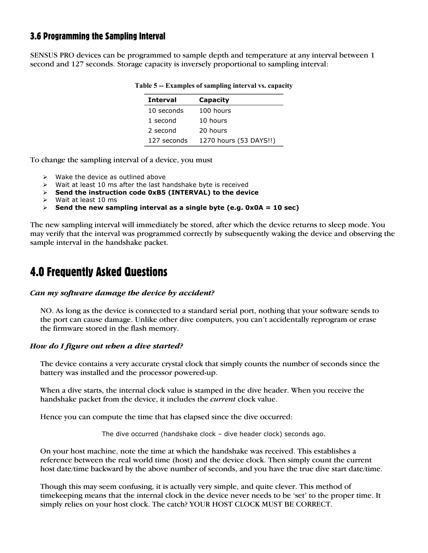### 3.6 Programming the Sampling Interval

SENSUS PRO devices can be programmed to sample depth and temperature at any interval between 1 second and 127 seconds. Storage capacity is inversely proportional to sampling interval:

| <b>Interval</b> | Capacity               |
|-----------------|------------------------|
| 10 seconds      | 100 hours              |
| 1 second        | 10 hours               |
| 2 second        | 20 hours               |
| 127 seconds     | 1270 hours (53 DAYS!!) |

#### **Table 5 -- Examples of sampling interval vs. capacity**

To change the sampling interval of a device, you must

- $\triangleright$  Wake the device as outlined above
- $\triangleright$  Wait at least 10 ms after the last handshake byte is received
- ¾ **Send the instruction code 0xB5 (INTERVAL) to the device**
- ¾ Wait at least 10 ms
- ¾ **Send the new sampling interval as a single byte (e.g. 0x0A = 10 sec)**

The new sampling interval will immediately be stored, after which the device returns to sleep mode. You may verify that the interval was programmed correctly by subsequently waking the device and observing the sample interval in the handshake packet.

# 4.0 Frequently Asked Questions

#### *Can my software damage the device by accident?*

NO. As long as the device is connected to a standard serial port, nothing that your software sends to the port can cause damage. Unlike other dive computers, you can't accidentally reprogram or erase the firmware stored in the flash memory.

#### *How do I figure out when a dive started?*

The device contains a very accurate crystal clock that simply counts the number of seconds since the battery was installed and the processor powered-up.

When a dive starts, the internal clock value is stamped in the dive header. When you receive the handshake packet from the device, it includes the *current* clock value.

Hence you can compute the time that has elapsed since the dive occurred:

The dive occurred (handshake clock – dive header clock) seconds ago.

On your host machine, note the time at which the handshake was received. This establishes a reference between the real world time (host) and the device clock. Then simply count the current host date/time backward by the above number of seconds, and you have the true dive start date/time.

Though this may seem confusing, it is actually very simple, and quite clever. This method of timekeeping means that the internal clock in the device never needs to be 'set' to the proper time. It simply relies on your host clock. The catch? YOUR HOST CLOCK MUST BE CORRECT.